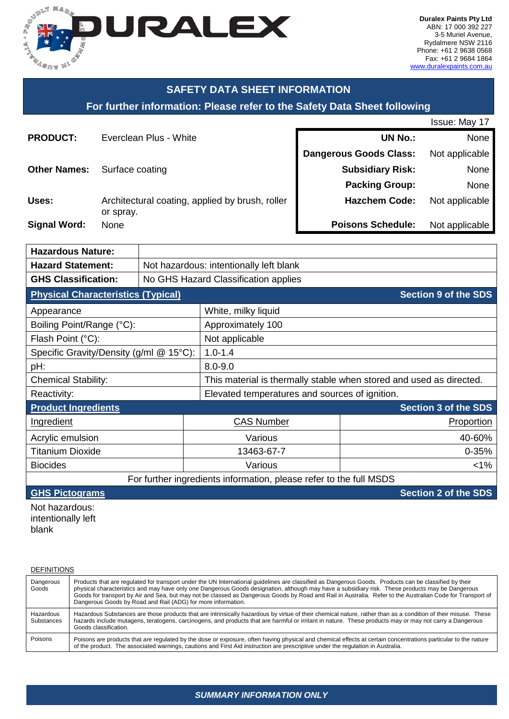

### **SAFETY DATA SHEET INFORMATION**

#### **For further information: Please refer to the Safety Data Sheet following**

|                     |                                                              |                               | Issue: May 17  |
|---------------------|--------------------------------------------------------------|-------------------------------|----------------|
| <b>PRODUCT:</b>     | Everclean Plus - White                                       | <b>UN No.:</b>                | None           |
|                     |                                                              | <b>Dangerous Goods Class:</b> | Not applicable |
| <b>Other Names:</b> | Surface coating                                              | <b>Subsidiary Risk:</b>       | None           |
|                     |                                                              | <b>Packing Group:</b>         | None           |
| Uses:               | Architectural coating, applied by brush, roller<br>or spray. | <b>Hazchem Code:</b>          | Not applicable |
| <b>Signal Word:</b> | None                                                         | <b>Poisons Schedule:</b>      | Not applicable |

| <b>Hazardous Nature:</b>                                                 |                                                                     |                                                                    |                             |  |  |
|--------------------------------------------------------------------------|---------------------------------------------------------------------|--------------------------------------------------------------------|-----------------------------|--|--|
| <b>Hazard Statement:</b>                                                 | Not hazardous: intentionally left blank                             |                                                                    |                             |  |  |
| <b>GHS Classification:</b>                                               | No GHS Hazard Classification applies                                |                                                                    |                             |  |  |
| <b>Section 9 of the SDS</b><br><b>Physical Characteristics (Typical)</b> |                                                                     |                                                                    |                             |  |  |
| Appearance                                                               |                                                                     | White, milky liquid                                                |                             |  |  |
| Boiling Point/Range (°C):                                                |                                                                     | Approximately 100                                                  |                             |  |  |
| Flash Point (°C):                                                        | Not applicable                                                      |                                                                    |                             |  |  |
|                                                                          | $1.0 - 1.4$<br>Specific Gravity/Density (g/ml @ 15°C):              |                                                                    |                             |  |  |
| $8.0 - 9.0$<br>pH:                                                       |                                                                     |                                                                    |                             |  |  |
| <b>Chemical Stability:</b>                                               | This material is thermally stable when stored and used as directed. |                                                                    |                             |  |  |
| Elevated temperatures and sources of ignition.<br>Reactivity:            |                                                                     |                                                                    |                             |  |  |
| <b>Product Ingredients</b>                                               |                                                                     |                                                                    | <b>Section 3 of the SDS</b> |  |  |
| <b>Ingredient</b>                                                        |                                                                     | <b>CAS Number</b>                                                  | <b>Proportion</b>           |  |  |
| Acrylic emulsion                                                         |                                                                     | Various                                                            | 40-60%                      |  |  |
| <b>Titanium Dioxide</b>                                                  | 13463-67-7                                                          |                                                                    | $0 - 35%$                   |  |  |
| <b>Biocides</b>                                                          |                                                                     | Various                                                            | $1\%$                       |  |  |
|                                                                          |                                                                     | For further ingredients information, please refer to the full MSDS |                             |  |  |

**GHS Pictograms CONS GHS Pictograms Section 2 of the SDS** 

Not hazardous: intentionally left blank

| <b>DEFINITIONS</b>      |                                                                                                                                                                                                                                                                                                                                                                                                                                                                                                                                          |
|-------------------------|------------------------------------------------------------------------------------------------------------------------------------------------------------------------------------------------------------------------------------------------------------------------------------------------------------------------------------------------------------------------------------------------------------------------------------------------------------------------------------------------------------------------------------------|
| Dangerous<br>Goods      | Products that are regulated for transport under the UN International guidelines are classified as Dangerous Goods. Products can be classified by their<br>physical characteristics and may have only one Dangerous Goods designation, although may have a subsidiary risk. These products may be Dangerous<br>Goods for transport by Air and Sea, but may not be classed as Dangerous Goods by Road and Rail in Australia. Refer to the Australian Code for Transport of<br>Dangerous Goods by Road and Rail (ADG) for more information. |
| Hazardous<br>Substances | Hazardous Substances are those products that are intrinsically hazardous by virtue of their chemical nature, rather than as a condition of their misuse. These<br>hazards include mutagens, teratogens, carcinogens, and products that are harmful or irritant in nature. These products may or may not carry a Dangerous<br>Goods classification.                                                                                                                                                                                       |
| Poisons                 | Poisons are products that are regulated by the dose or exposure, often having physical and chemical effects at certain concentrations particular to the nature<br>of the product. The associated warnings, cautions and First Aid instruction are prescriptive under the regulation in Australia.                                                                                                                                                                                                                                        |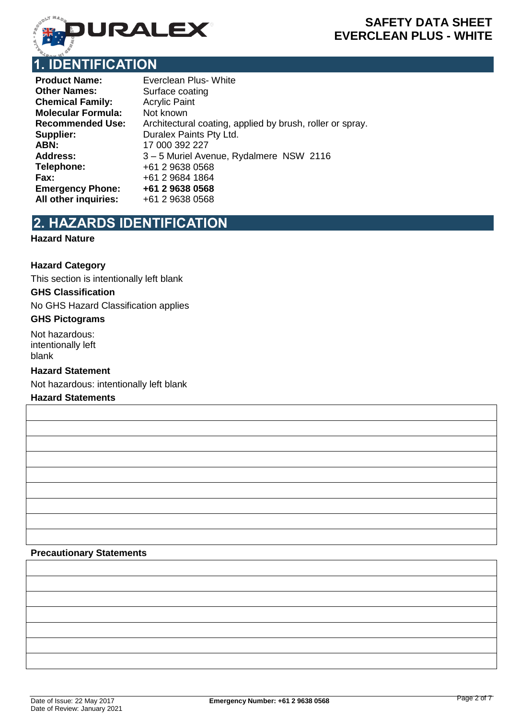

## **1. IDENTIFICATION**

| <b>Product Name:</b>      | <b>Everclean Plus- White</b>                              |
|---------------------------|-----------------------------------------------------------|
| <b>Other Names:</b>       | Surface coating                                           |
| <b>Chemical Family:</b>   | <b>Acrylic Paint</b>                                      |
| <b>Molecular Formula:</b> | Not known                                                 |
| <b>Recommended Use:</b>   | Architectural coating, applied by brush, roller or spray. |
| Supplier:                 | Duralex Paints Pty Ltd.                                   |
| ABN:                      | 17 000 392 227                                            |
| <b>Address:</b>           | 3-5 Muriel Avenue, Rydalmere NSW 2116                     |
| Telephone:                | +61 2 9638 0568                                           |
| Fax:                      | +61 2 9684 1864                                           |
| <b>Emergency Phone:</b>   | +61 2 9638 0568                                           |
| All other inquiries:      | +61 2 9638 0568                                           |

# **2. HAZARDS IDENTIFICATION**

#### **Hazard Nature**

#### **Hazard Category**

This section is intentionally left blank

#### **GHS Classification**

No GHS Hazard Classification applies

#### **GHS Pictograms**

Not hazardous: intentionally left blank

#### **Hazard Statement**

Not hazardous: intentionally left blank

#### **Hazard Statements**

#### **Precautionary Statements**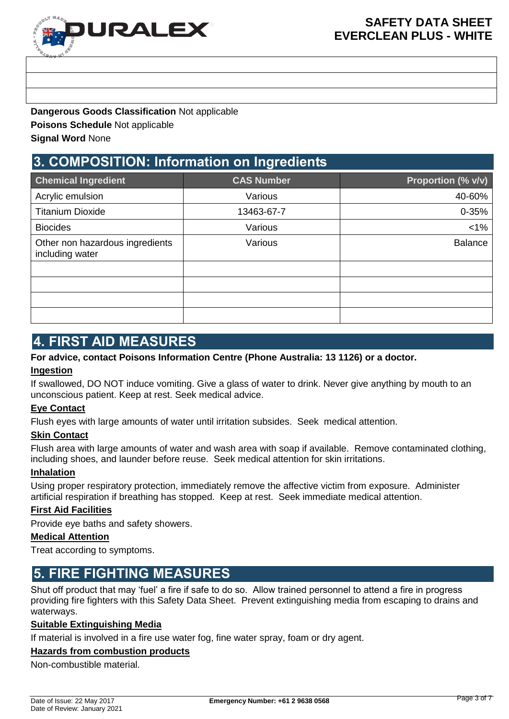

**Dangerous Goods Classification** Not applicable

**Poisons Schedule** Not applicable

**Signal Word** None

## **3. COMPOSITION: Information on Ingredients**

| <b>Chemical Ingredient</b>                         | <b>CAS Number</b> | Proportion (% v/v) |  |
|----------------------------------------------------|-------------------|--------------------|--|
| Acrylic emulsion                                   | Various           | 40-60%             |  |
| <b>Titanium Dioxide</b>                            | 13463-67-7        | 0-35%              |  |
| <b>Biocides</b>                                    | Various           | $< 1\%$            |  |
| Other non hazardous ingredients<br>including water | Various           | <b>Balance</b>     |  |
|                                                    |                   |                    |  |
|                                                    |                   |                    |  |
|                                                    |                   |                    |  |
|                                                    |                   |                    |  |

## **4. FIRST AID MEASURES**

### **For advice, contact Poisons Information Centre (Phone Australia: 13 1126) or a doctor.**

#### **Ingestion**

If swallowed, DO NOT induce vomiting. Give a glass of water to drink. Never give anything by mouth to an unconscious patient. Keep at rest. Seek medical advice.

#### **Eye Contact**

Flush eyes with large amounts of water until irritation subsides. Seek medical attention.

#### **Skin Contact**

Flush area with large amounts of water and wash area with soap if available. Remove contaminated clothing, including shoes, and launder before reuse. Seek medical attention for skin irritations.

#### **Inhalation**

Using proper respiratory protection, immediately remove the affective victim from exposure. Administer artificial respiration if breathing has stopped. Keep at rest. Seek immediate medical attention.

#### **First Aid Facilities**

Provide eye baths and safety showers.

#### **Medical Attention**

Treat according to symptoms.

### **5. FIRE FIGHTING MEASURES**

Shut off product that may 'fuel' a fire if safe to do so. Allow trained personnel to attend a fire in progress providing fire fighters with this Safety Data Sheet. Prevent extinguishing media from escaping to drains and waterways.

#### **Suitable Extinguishing Media**

If material is involved in a fire use water fog, fine water spray, foam or dry agent.

#### **Hazards from combustion products**

Non-combustible material.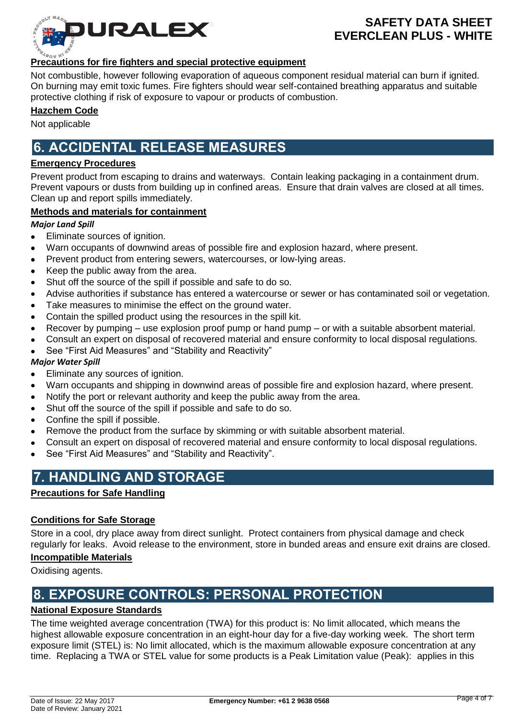

#### **Precautions for fire fighters and special protective equipment**

Not combustible, however following evaporation of aqueous component residual material can burn if ignited. On burning may emit toxic fumes. Fire fighters should wear self-contained breathing apparatus and suitable protective clothing if risk of exposure to vapour or products of combustion.

#### **Hazchem Code**

Not applicable

### **6. ACCIDENTAL RELEASE MEASURES**

#### **Emergency Procedures**

Prevent product from escaping to drains and waterways. Contain leaking packaging in a containment drum. Prevent vapours or dusts from building up in confined areas. Ensure that drain valves are closed at all times. Clean up and report spills immediately.

#### **Methods and materials for containment**

*Major Land Spill*

- Eliminate sources of ignition.  $\bullet$
- Warn occupants of downwind areas of possible fire and explosion hazard, where present.
- Prevent product from entering sewers, watercourses, or low-lying areas.
- Keep the public away from the area.
- Shut off the source of the spill if possible and safe to do so.
- Advise authorities if substance has entered a watercourse or sewer or has contaminated soil or vegetation.
- Take measures to minimise the effect on the ground water.
- Contain the spilled product using the resources in the spill kit.
- Recover by pumping use explosion proof pump or hand pump or with a suitable absorbent material.
- Consult an expert on disposal of recovered material and ensure conformity to local disposal regulations.  $\bullet$
- See "First Aid Measures" and "Stability and Reactivity"

#### *Major Water Spill*

- Eliminate any sources of ignition.
- Warn occupants and shipping in downwind areas of possible fire and explosion hazard, where present.
- Notify the port or relevant authority and keep the public away from the area.
- Shut off the source of the spill if possible and safe to do so.
- Confine the spill if possible.
- Remove the product from the surface by skimming or with suitable absorbent material.
- Consult an expert on disposal of recovered material and ensure conformity to local disposal regulations.
- See "First Aid Measures" and "Stability and Reactivity".

## **7. HANDLING AND STORAGE**

#### **Precautions for Safe Handling**

#### **Conditions for Safe Storage**

Store in a cool, dry place away from direct sunlight. Protect containers from physical damage and check regularly for leaks. Avoid release to the environment, store in bunded areas and ensure exit drains are closed.

#### **Incompatible Materials**

Oxidising agents.

## **8. EXPOSURE CONTROLS: PERSONAL PROTECTION**

#### **National Exposure Standards**

The time weighted average concentration (TWA) for this product is: No limit allocated, which means the highest allowable exposure concentration in an eight-hour day for a five-day working week. The short term exposure limit (STEL) is: No limit allocated, which is the maximum allowable exposure concentration at any time. Replacing a TWA or STEL value for some products is a Peak Limitation value (Peak): applies in this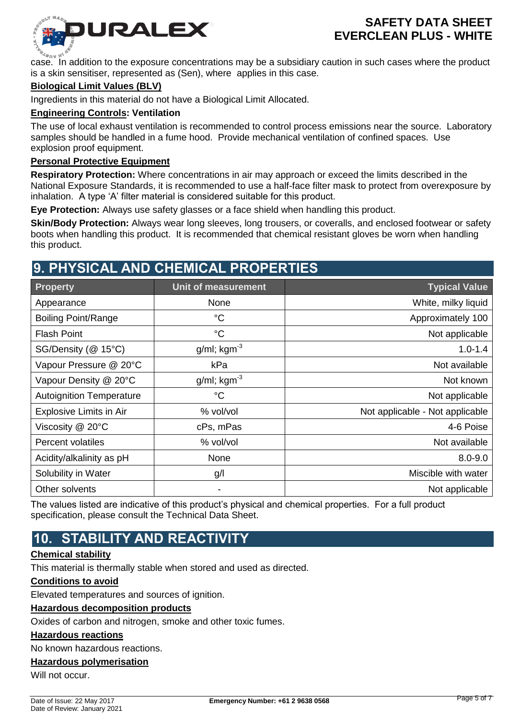

case. In addition to the exposure concentrations may be a subsidiary caution in such cases where the product is a skin sensitiser, represented as (Sen), where applies in this case.

#### **Biological Limit Values (BLV)**

Ingredients in this material do not have a Biological Limit Allocated.

#### **Engineering Controls: Ventilation**

The use of local exhaust ventilation is recommended to control process emissions near the source. Laboratory samples should be handled in a fume hood. Provide mechanical ventilation of confined spaces. Use explosion proof equipment.

#### **Personal Protective Equipment**

**Respiratory Protection:** Where concentrations in air may approach or exceed the limits described in the National Exposure Standards, it is recommended to use a half-face filter mask to protect from overexposure by inhalation. A type 'A' filter material is considered suitable for this product.

**Eye Protection:** Always use safety glasses or a face shield when handling this product.

**Skin/Body Protection:** Always wear long sleeves, long trousers, or coveralls, and enclosed footwear or safety boots when handling this product. It is recommended that chemical resistant gloves be worn when handling this product.

### **9. PHYSICAL AND CHEMICAL PROPERTIES**

| <b>Property</b>                 | <b>Unit of measurement</b> | <b>Typical Value</b>            |
|---------------------------------|----------------------------|---------------------------------|
| Appearance                      | None                       | White, milky liquid             |
| <b>Boiling Point/Range</b>      | $^{\circ}C$                | Approximately 100               |
| <b>Flash Point</b>              | $^{\circ}C$                | Not applicable                  |
| SG/Density (@ 15°C)             | $g/ml$ ; kgm <sup>-3</sup> | $1.0 - 1.4$                     |
| Vapour Pressure @ 20°C          | kPa                        | Not available                   |
| Vapour Density @ 20°C           | $g/ml$ ; kgm <sup>-3</sup> | Not known                       |
| <b>Autoignition Temperature</b> | $\rm ^{\circ}C$            | Not applicable                  |
| <b>Explosive Limits in Air</b>  | % vol/vol                  | Not applicable - Not applicable |
| Viscosity @ 20°C                | cPs, mPas                  | 4-6 Poise                       |
| <b>Percent volatiles</b>        | % vol/vol                  | Not available                   |
| Acidity/alkalinity as pH        | None                       | $8.0 - 9.0$                     |
| Solubility in Water             | g/                         | Miscible with water             |
| Other solvents                  | -                          | Not applicable                  |

The values listed are indicative of this product's physical and chemical properties. For a full product specification, please consult the Technical Data Sheet.

## **10. STABILITY AND REACTIVITY**

#### **Chemical stability**

This material is thermally stable when stored and used as directed.

#### **Conditions to avoid**

Elevated temperatures and sources of ignition.

#### **Hazardous decomposition products**

Oxides of carbon and nitrogen, smoke and other toxic fumes.

#### **Hazardous reactions**

No known hazardous reactions.

#### **Hazardous polymerisation**

Will not occur.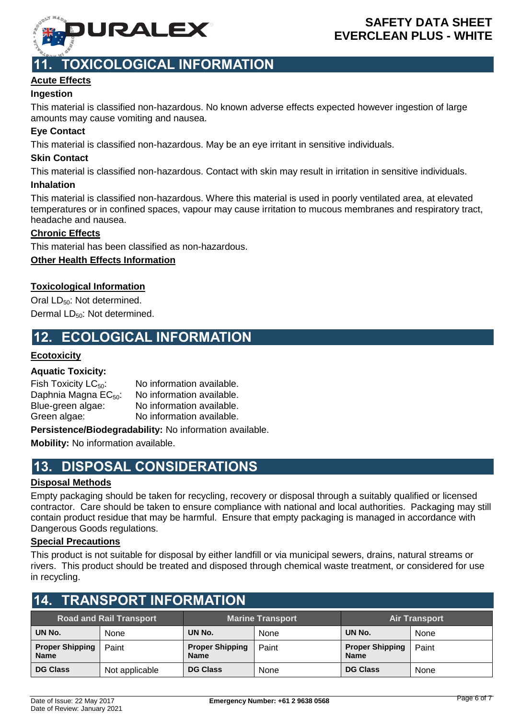

## **11. TOXICOLOGICAL INFORMATION**

### **Acute Effects**

#### **Ingestion**

This material is classified non-hazardous. No known adverse effects expected however ingestion of large amounts may cause vomiting and nausea.

#### **Eye Contact**

This material is classified non-hazardous. May be an eye irritant in sensitive individuals.

#### **Skin Contact**

This material is classified non-hazardous. Contact with skin may result in irritation in sensitive individuals.

#### **Inhalation**

This material is classified non-hazardous. Where this material is used in poorly ventilated area, at elevated temperatures or in confined spaces, vapour may cause irritation to mucous membranes and respiratory tract, headache and nausea.

#### **Chronic Effects**

This material has been classified as non-hazardous.

#### **Other Health Effects Information**

#### **Toxicological Information**

Oral LD<sub>50</sub>: Not determined. Dermal LD<sub>50</sub>: Not determined.

### **12. ECOLOGICAL INFORMATION**

#### **Ecotoxicity**

#### **Aquatic Toxicity:**

| Fish Toxicity $LC_{50}$ :        | No information available. |
|----------------------------------|---------------------------|
| Daphnia Magna EC <sub>50</sub> : | No information available. |
| Blue-green algae:                | No information available. |
| Green algae:                     | No information available. |
|                                  |                           |

**Persistence/Biodegradability:** No information available.

**Mobility:** No information available.

### **13. DISPOSAL CONSIDERATIONS**

#### **Disposal Methods**

Empty packaging should be taken for recycling, recovery or disposal through a suitably qualified or licensed contractor. Care should be taken to ensure compliance with national and local authorities. Packaging may still contain product residue that may be harmful. Ensure that empty packaging is managed in accordance with Dangerous Goods regulations.

#### **Special Precautions**

This product is not suitable for disposal by either landfill or via municipal sewers, drains, natural streams or rivers. This product should be treated and disposed through chemical waste treatment, or considered for use in recycling.

| II. INANJI YNI INI YNIMATIYN          |                |                                       |       |                                       |       |  |
|---------------------------------------|----------------|---------------------------------------|-------|---------------------------------------|-------|--|
| <b>Road and Rail Transport</b>        |                | <b>Marine Transport</b>               |       | <b>Air Transport</b>                  |       |  |
| UN No.                                | None           | UN No.                                | None  | UN No.                                | None  |  |
| <b>Proper Shipping</b><br><b>Name</b> | Paint          | <b>Proper Shipping</b><br><b>Name</b> | Paint | <b>Proper Shipping</b><br><b>Name</b> | Paint |  |
| <b>DG Class</b>                       | Not applicable | <b>DG Class</b>                       | None  | <b>DG Class</b>                       | None  |  |

### **14. TRANSPORT INFORMATION**